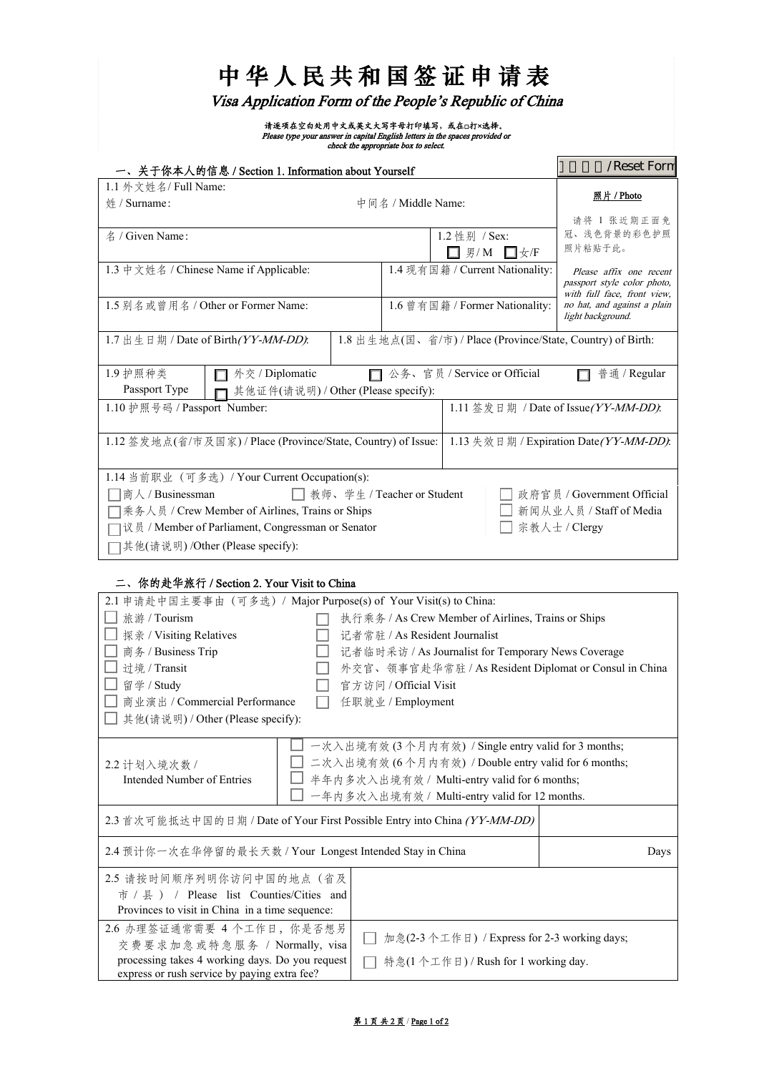| 中华人民共和国签证申请表 |  |
|--------------|--|
|--------------|--|

Visa Application Form of the People's Republic of China

请逐项在空白处用中文或英文大写字母打印填写,或在□打×选择。<br>Please type your answer in capital English letters in the spaces provided or<br>check the appropriate box to select.

| 一、关于你本人的信息 / Section 1. Information about Yourself            |                                                             | /Reset Forn                                                |
|---------------------------------------------------------------|-------------------------------------------------------------|------------------------------------------------------------|
| 1.1 外文姓名/ Full Name:<br>$# /$ Surname:                        | 中间名 / Middle Name:                                          | 照片 / Photo                                                 |
|                                                               |                                                             | 请将 1 张近期正面免                                                |
| $\angle$ / Given Name:                                        | 1.2 性别 / Sex:                                               | 冠、浅色背景的彩色护照                                                |
|                                                               | $\Box$ 男/M $\Box$ 女/F                                       | 照片粘贴于此。                                                    |
| 1.3 中文姓名 / Chinese Name if Applicable:                        | 1.4 现有国籍 / Current Nationality:                             | Please affix one recent                                    |
|                                                               |                                                             | passport style color photo,<br>with full face, front view, |
| 1.5 别名或曾用名 / Other or Former Name:                            | 1.6 曾有国籍 / Former Nationality:                              | no hat, and against a plain                                |
|                                                               |                                                             | light background.                                          |
| 1.7 出生日期 / Date of Birth (YY-MM-DD).                          | 1.8 出生地点(国、省/市) / Place (Province/State, Country) of Birth: |                                                            |
|                                                               |                                                             |                                                            |
| 1.9 护照种类<br>外交 / Diplomatic                                   | □ 公务、官员 / Service or Official                               | 普通 / Regular                                               |
| Passport Type<br>其他证件(请说明) / Other (Please specify):          |                                                             |                                                            |
| 1.10 护照号码 / Passport Number:                                  |                                                             | 1.11 签发日期 / Date of Issue(YY-MM-DD):                       |
|                                                               |                                                             |                                                            |
| 1.12 签发地点(省/市及国家) / Place (Province/State, Country) of Issue: |                                                             | 1.13 失效日期 / Expiration Date (YY-MM-DD).                    |
|                                                               |                                                             |                                                            |
| 1.14 当前职业 (可多选) / Your Current Occupation(s):                 |                                                             |                                                            |
| □商人 / Businessman                                             | □ 教师、学生 / Teacher or Student                                | □ 政府官员 / Government Official                               |
| □乘务人员 / Crew Member of Airlines, Trains or Ships              |                                                             | 新闻从业人员 / Staff of Media                                    |
| □议员 / Member of Parliament, Congressman or Senator            |                                                             | 宗教人士 / Clergy                                              |
| □其他(请说明) /Other (Please specify):                             |                                                             |                                                            |

# 二、你的赴华旅行 / Section 2. Your Visit to China

| 2.1 申请赴中国主要事由 (可多选) / Major Purpose(s) of Your Visit(s) to China:         |  |                                                                                                             |  |
|---------------------------------------------------------------------------|--|-------------------------------------------------------------------------------------------------------------|--|
| 旅游 / Tourism                                                              |  | 执行乘务 / As Crew Member of Airlines, Trains or Ships                                                          |  |
| 探亲 / Visiting Relatives                                                   |  | 记者常驻 / As Resident Journalist                                                                               |  |
| 商务 / Business Trip                                                        |  | 记者临时采访 / As Journalist for Temporary News Coverage                                                          |  |
| 过境 / Transit                                                              |  | 外交官、领事官赴华常驻 / As Resident Diplomat or Consul in China                                                       |  |
| 留学 / Study                                                                |  | 官方访问 / Official Visit                                                                                       |  |
| 商业演出 / Commercial Performance                                             |  | 任职就业 / Employment                                                                                           |  |
| 其他(请说明) / Other (Please specify):                                         |  |                                                                                                             |  |
| 2.2 计划入境次数 /                                                              |  | 一次入出境有效 (3 个月内有效) / Single entry valid for 3 months;<br>二次入出境有效 (6个月内有效) / Double entry valid for 6 months; |  |
| Intended Number of Entries                                                |  | 半年内多次入出境有效 / Multi-entry valid for 6 months;                                                                |  |
|                                                                           |  | 一年内多次入出境有效 / Multi-entry valid for 12 months.                                                               |  |
| 2.3 首次可能抵达中国的日期 / Date of Your First Possible Entry into China (YY-MM-DD) |  |                                                                                                             |  |
| 2.4 预计你一次在华停留的最长天数 / Your Longest Intended Stay in China                  |  | Days                                                                                                        |  |
| 2.5 请按时间顺序列明你访问中国的地点(省及                                                   |  |                                                                                                             |  |
| 市 / 县 ) / Please list Counties/Cities and                                 |  |                                                                                                             |  |
| Provinces to visit in China in a time sequence:                           |  |                                                                                                             |  |
| 2.6 办理签证通常需要 4 个工作日, 你是否想另                                                |  |                                                                                                             |  |
| 交费要求加急或特急服务 / Normally, visa                                              |  | 加急(2-3个工作日) / Express for 2-3 working days;                                                                 |  |
| processing takes 4 working days. Do you request                           |  | 特急(1个工作日)/Rush for 1 working day.                                                                           |  |
| express or rush service by paying extra fee?                              |  |                                                                                                             |  |